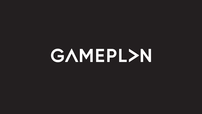# GAMEPLYN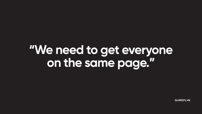# **"We need to get everyone on the same page."**

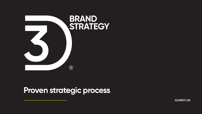

### **Proven strategic process**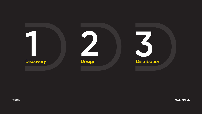

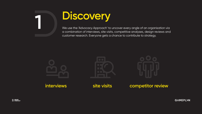**interviews site visits competitor review** 







**GAMEPL>N** 



## **Discovery**

We use the 'Advocacy Approach' to uncover every angle of an organisation via a combination of interviews, site visits, competitive analyses, design reviews and customer research. Everyone gets a chance to contribute to strategy.

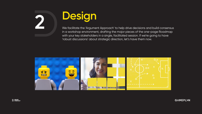

# **Design**

We facilitate the 'Argument Approach' to help drive decisions and build consensus in a workshop environment, drafting the major pieces of the one-page Roadmap with your key stakeholders in a single, facilitated session. If we're going to have 'robust discussions' about strategic direction, let's have them now.

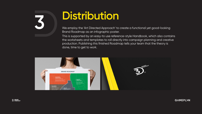

## **Distribution**

We employ the 'Art Directed Approach' to create a functional yet good-looking Brand Roadmap as an infographic poster.

This is supported by an easy-to use reference-style Handbook, which also contains the worksheets and templates to roll directly into campaign planning and creative production. Publishing this finished Roadmap tells your team that the theory is done, time to get to work.



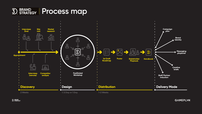



**3** BRAND

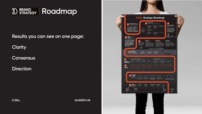



Results you can see on one page:

**2 Weeks 1/2 Day or 1 Day 1-2 Weeks**

**Discovery Design Distribution Delivery Mode**

**Clarity**

**Consensus**

**Apple Trection**